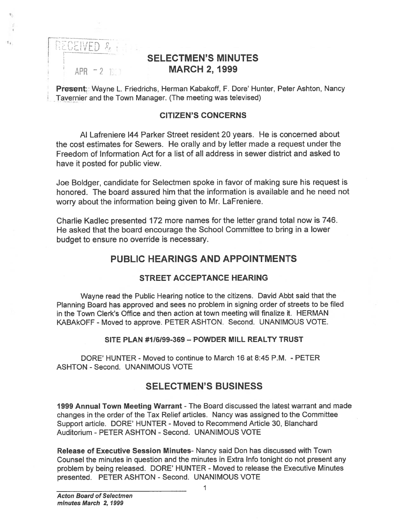RECEIVED &

 $\mathbf{t}_k$ 

# SELECTMEN'S MINUTES APR - 2 1999 **MARCH 2, 1999**

Present; Wayne L. Friedrichs, Herman Kabakoff, F. Dore' Hunter, Peter Ashton, Nancy Tavernier and the Town Manager. (The meeting was televised)

#### CITIZEN'S CONCERNS

Al Lafreniere 144 Parker Street resident 20 years. He is concerned about the cost estimates for Sewers. He orally and by letter made <sup>a</sup> reques<sup>t</sup> under the Freedom of Information Act for <sup>a</sup> list of all address in sewer district and asked to have it posted for public view.

Joe Boidger, candidate for Selectmen spoke in favor of making sure his reques<sup>t</sup> is honored. The board assured him that the information is available and he need not worry about the information being given to Mr. LaFreniere.

Charlie Kadlec presented 172 more names for the letter grand total now is 746. He asked that the board encourage the School Committee to bring in <sup>a</sup> lower budget to ensure no override is necessary.

# PUBLIC HEARINGS AND APPOINTMENTS

## STREET ACCEPTANCE HEARING

Wayne read the Public Hearing notice to the citizens. David Abbt said that the Planning Board has approved and sees no problem in signing order of streets to be filed in the Town Clerk's Office and then action at town meeting will finalize it. HERMAN KABAkOFF - Moved to approve. PETER ASHTON. Second. UNANIMOUS VOTE.

#### SITE PLAN #1/6/99-369 - POWDER MILL REALTY TRUST

DORE' HUNTER - Moved to continue to March 16 at 8:45 P.M. - PETER ASHTON - Second. UNANIMOUS VOTE

# SELECTMEN'S BUSINESS

1999 Annual Town Meeting Warrant -The Board discussed the latest warrant and made changes in the order of the Tax Relief articles. Nancy was assigned to the Committee Support article. DORE' HUNTER - Moved to Recommend Article 30, Blanchard Auditorium - PETER ASHTON - Second. UNANIMOUS VOTE

Release of Executive Session Minutes- Nancy said Don has discussed with Town Counsel the minutes in question and the minutes in Extra Info tonight do not presen<sup>t</sup> any problem by being released. DORE' HUNTER - Moved to release the Executive Minutes presented. PETER ASHTON - Second. UNANIMOUS VOTE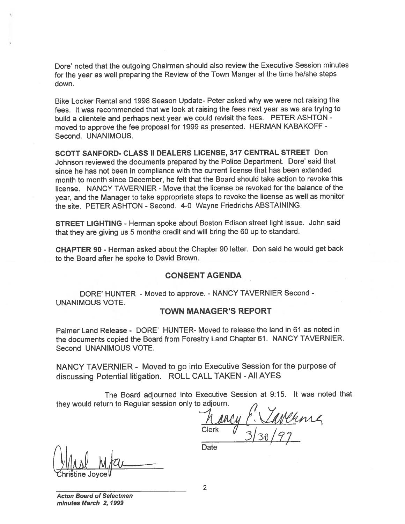Dote' noted that the outgoing Chairman should also review the Executive Session minutes for the year as well preparing the Review of the Town Manger at the time he/she steps down.

Bike Locker Rental and 1998 Season Update- Peter asked why we were not raising the fees. It was recommended that we look at raising the fees next year as we are trying to build <sup>a</sup> clientele and perhaps next year we could revisit the fees. PETER ASHTON moved to approve the fee proposa<sup>l</sup> for <sup>1999</sup> as presented. HERMAN KABAKOFF - Second. UNANIMOUS.

SCOTT SANFORD- CLASS II DEALERS LICENSE, 317 CENTRAL STREET Don Johnson reviewed the documents prepare<sup>d</sup> by the Police Department. Dote' said that since he has not been in compliance with the current license that has been extended month to month since December, he felt that the Board should take action to revoke this license. NANCY TAVERNIER - Move that the license be revoked for the balance of the year, and the Manager to take appropriate steps to revoke the license as well as monitor the site. PETER ASHTON - Second. 4-0 Wayne Friedrichs ABSTAINING.

STREET LIGHTING - Herman spoke about Boston Edison street light issue. John said that they are <sup>g</sup>iving us <sup>5</sup> months credit and will bring the <sup>60</sup> up to standard.

CHAPTER 90 - Herman asked about the Chapter 90 letter. Don said he would ge<sup>t</sup> back to the Board after he spoke to David Brown.

#### CONSENT AGENDA

DORE' HUNTER - Moved to approve. - NANCY TAVERNIER Second -UNANIMOUS VOTE.

#### TOWN MANAGER'S REPORT

Palmer Land Release - DORE' HUNTER- Moved to release the land in 61 as noted in the documents copied the Board from Forestry Land Chapter 61. NANCY TAVERNIER. Second UNANIMOUS VOTE.

NANCY TAVERNIER - Moved to go into Executive Session for the purpose of discussing Potential litigation. ROLL CALL TAKEN -All AYES

The Board adjourned into Executive Session at 9:15. It was noted that they would return to Regular session only to adjourn.

Clerk  $\frac{1}{3}$  30 / 99

hristine Joyce

**Date** 

Acton Board of Selectmen minutes March 2, 1999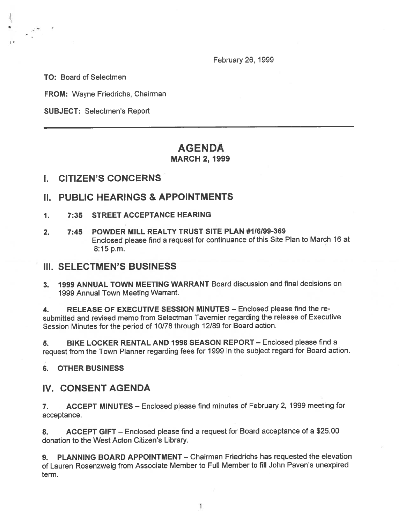February 26, 1999

TO: Board of Selectmen

FROM: Wayne Friedrichs, Chairman

SUBJECT: Selectmen's Report

## AGENDA MARCH 2, 1999

## I. CITIZEN'S CONCERNS

#### II. PUBLIC HEARINGS & APPOINTMENTS

- 1. 7:35 STREET ACCEPTANCE HEARING
- 2. 7:45 POWDER MILL REALTY TRUST SITE PLAN #1/6199-369 Enclosed <sup>p</sup>lease find <sup>a</sup> reques<sup>t</sup> for continuance of this Site Plan to March <sup>16</sup> at 8:15 p.m.

#### III. SELECTMEN'S BUSINESS

3. 1999 ANNUAL TOWN MEETING WARRANT Board discussion and final decisions on 1999 Annual Town Meeting Warrant.

4. RELEASE OF EXECUTIVE SESSION MINUTES - Enclosed please find the resubmitted and revised memo from Selectman Tavernier regarding the release of Executive Session Minutes for the period of 10/78 through 12/89 for Board action.

5. BIKE LOCKER RENTAL AND 1998 SEASON REPORT - Enclosed please find a reques<sup>t</sup> from the Town Planner regarding fees for <sup>1999</sup> in the subject regar<sup>d</sup> for Board action.

#### 6. OTHER BUSINESS

## IV. CONSENT AGENDA

7. ACCEPT MINUTES — Enclosed <sup>p</sup>lease find minutes of February 2, 1999 meeting for acceptance.

8. ACCEPT GIFT — Enclosed <sup>p</sup>lease find <sup>a</sup> reques<sup>t</sup> for Board acceptance of <sup>a</sup> \$25.00 donation to the West Acton Citizen's Library.

9. PLANNING BOARD APPOINTMENT - Chairman Friedrichs has requested the elevation of Lauren Rosenzweig from Associate Member to Full Member to fill John Paven's unexpired term.